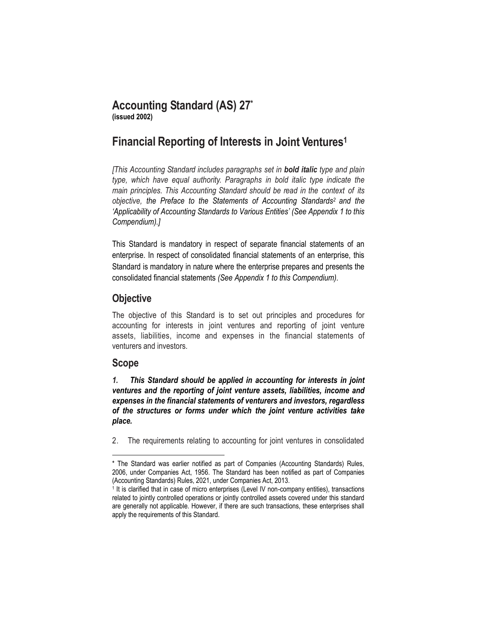# **Accounting Standard (AS) 27\***

**(issued 2002)**

# **Financial Reporting of Interests in Joint Ventures<sup>1</sup>**

*[This Accounting Standard includes paragraphs set in bold italic type and plain type, which have equal authority. Paragraphs in bold italic type indicate the main principles. This Accounting Standard should be read in the context of its objective, the Preface to the Statements of Accounting Standards<sup>2</sup> and the 'Applicability of Accounting Standards to Various Entities' (See Appendix 1 to this Compendium).]*

This Standard is mandatory in respect of separate financial statements of an enterprise. In respect of consolidated financial statements of an enterprise, this Standard is mandatory in nature where the enterprise prepares and presents the consolidated financial statements *(See Appendix 1 to this Compendium).*

# **Objective**

The objective of this Standard is to set out principles and procedures for accounting for interests in joint ventures and reporting of joint venture assets, liabilities, income and expenses in the financial statements of venturers and investors.

# **Scope**

 $\overline{\phantom{a}}$ 

*1. This Standard should be applied in accounting for interests in joint ventures and the reporting of joint venture assets, liabilities, income and expenses in the financial statements of venturers and investors, regardless of the structures or forms under which the joint venture activities take place.*

2. The requirements relating to accounting for joint ventures in consolidated

<sup>\*</sup> The Standard was earlier notified as part of Companies (Accounting Standards) Rules, 2006, under Companies Act, 1956. The Standard has been notified as part of Companies (Accounting Standards) Rules, 2021, under Companies Act, 2013.

<sup>&</sup>lt;sup>1</sup> It is clarified that in case of micro enterprises (Level IV non-company entities), transactions related to jointly controlled operations or jointly controlled assets covered under this standard are generally not applicable. However, if there are such transactions, these enterprises shall apply the requirements of this Standard.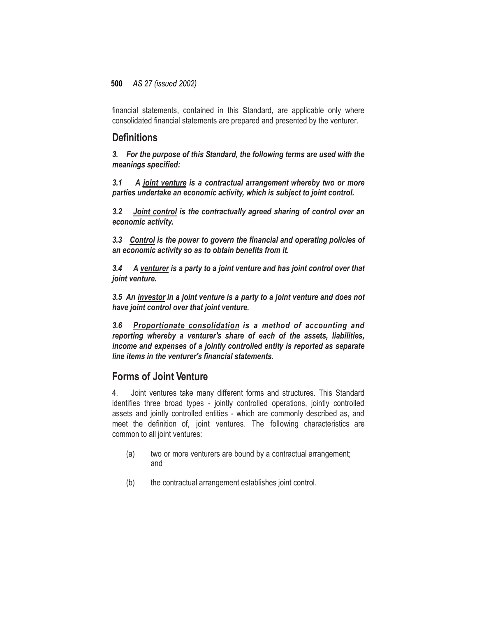financial statements, contained in this Standard, are applicable only where consolidated financial statements are prepared and presented by the venturer.

### **Definitions**

*3. For the purpose of this Standard, the following terms are used with the meanings specified:*

*3.1 A joint venture is a contractual arrangement whereby two or more parties undertake an economic activity, which is subject to joint control.*

*3.2 Joint control is the contractually agreed sharing of control over an economic activity.*

*3.3 Control is the power to govern the financial and operating policies of an economic activity so as to obtain benefits from it.*

*3.4 A venturer is a party to a joint venture and has joint control over that joint venture.*

*3.5 An investor in a joint venture is a party to a joint venture and does not have joint control over that joint venture.*

*3.6 Proportionate consolidation is a method of accounting and reporting whereby a venturer's share of each of the assets, liabilities, income and expenses of a jointly controlled entity is reported as separate line items in the venturer's financial statements.*

### **Forms of Joint Venture**

4. Joint ventures take many different forms and structures. This Standard identifies three broad types - jointly controlled operations, jointly controlled assets and jointly controlled entities - which are commonly described as, and meet the definition of, joint ventures. The following characteristics are common to all joint ventures:

- (a) two or more venturers are bound by a contractual arrangement; and
- (b) the contractual arrangement establishes joint control.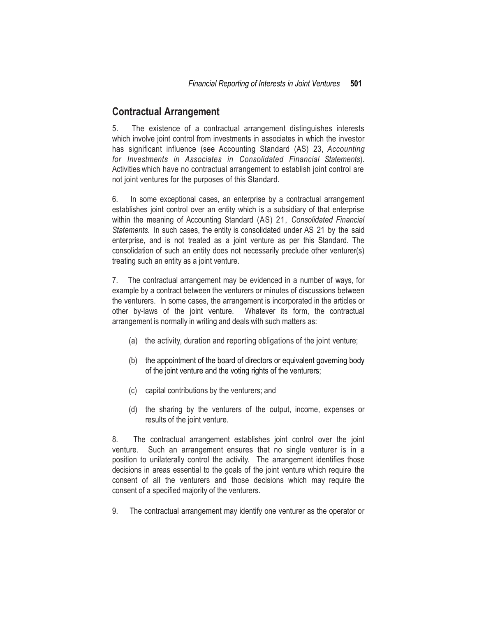### **Contractual Arrangement**

5. The existence of a contractual arrangement distinguishes interests which involve joint control from investments in associates in which the investor has significant influence (see Accounting Standard (AS) 23, *Accounting for Investments in Associates in Consolidated Financial Statements*). Activities which have no contractual arrangement to establish joint control are not joint ventures for the purposes of this Standard.

6. In some exceptional cases, an enterprise by a contractual arrangement establishes joint control over an entity which is a subsidiary of that enterprise within the meaning of Accounting Standard (AS) 21, *Consolidated Financial Statements.* In such cases, the entity is consolidated under AS 21 by the said enterprise, and is not treated as a joint venture as per this Standard. The consolidation of such an entity does not necessarily preclude other venturer(s) treating such an entity as a joint venture.

7. The contractual arrangement may be evidenced in a number of ways, for example by a contract between the venturers or minutes of discussions between the venturers. In some cases, the arrangement is incorporated in the articles or other by-laws of the joint venture. Whatever its form, the contractual arrangement is normally in writing and deals with such matters as:

- (a) the activity, duration and reporting obligations of the joint venture;
- (b) the appointment of the board of directors or equivalent governing body of the joint venture and the voting rights of the venturers;
- (c) capital contributions by the venturers; and
- (d) the sharing by the venturers of the output, income, expenses or results of the joint venture.

8. The contractual arrangement establishes joint control over the joint venture. Such an arrangement ensures that no single venturer is in a position to unilaterally control the activity. The arrangement identifies those decisions in areas essential to the goals of the joint venture which require the consent of all the venturers and those decisions which may require the consent of a specified majority of the venturers.

9. The contractual arrangement may identify one venturer as the operator or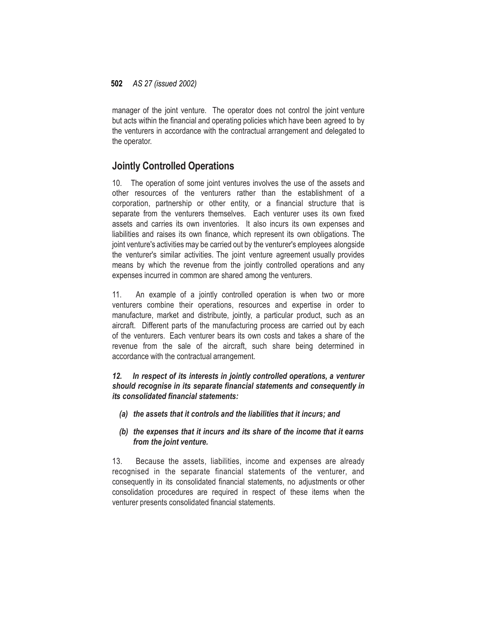manager of the joint venture. The operator does not control the joint venture but acts within the financial and operating policies which have been agreed to by the venturers in accordance with the contractual arrangement and delegated to the operator.

## **Jointly Controlled Operations**

10. The operation of some joint ventures involves the use of the assets and other resources of the venturers rather than the establishment of a corporation, partnership or other entity, or a financial structure that is separate from the venturers themselves. Each venturer uses its own fixed assets and carries its own inventories. It also incurs its own expenses and liabilities and raises its own finance, which represent its own obligations. The joint venture's activities may be carried out by the venturer's employees alongside the venturer's similar activities. The joint venture agreement usually provides means by which the revenue from the jointly controlled operations and any expenses incurred in common are shared among the venturers.

11. An example of a jointly controlled operation is when two or more venturers combine their operations, resources and expertise in order to manufacture, market and distribute, jointly, a particular product, such as an aircraft. Different parts of the manufacturing process are carried out by each of the venturers. Each venturer bears its own costs and takes a share of the revenue from the sale of the aircraft, such share being determined in accordance with the contractual arrangement.

### *12. In respect of its interests in jointly controlled operations, a venturer should recognise in its separate financial statements and consequently in its consolidated financial statements:*

*(a) the assets that it controls and the liabilities that it incurs; and*

### *(b) the expenses that it incurs and its share of the income that it earns from the joint venture.*

13. Because the assets, liabilities, income and expenses are already recognised in the separate financial statements of the venturer, and consequently in its consolidated financial statements, no adjustments or other consolidation procedures are required in respect of these items when the venturer presents consolidated financial statements.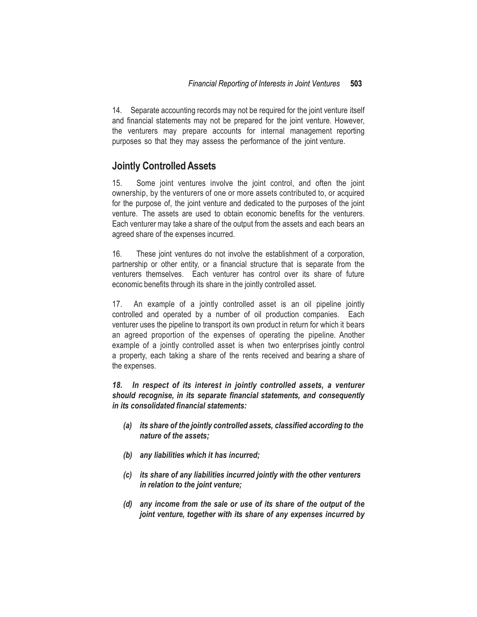14. Separate accounting records may not be required for the joint venture itself and financial statements may not be prepared for the joint venture. However, the venturers may prepare accounts for internal management reporting purposes so that they may assess the performance of the joint venture.

### **Jointly ControlledAssets**

15. Some joint ventures involve the joint control, and often the joint ownership, by the venturers of one or more assets contributed to, or acquired for the purpose of, the joint venture and dedicated to the purposes of the joint venture. The assets are used to obtain economic benefits for the venturers. Each venturer may take a share of the output from the assets and each bears an agreed share of the expenses incurred.

16. These joint ventures do not involve the establishment of a corporation, partnership or other entity, or a financial structure that is separate from the venturers themselves. Each venturer has control over its share of future economic benefits through its share in the jointly controlled asset.

17. An example of a jointly controlled asset is an oil pipeline jointly controlled and operated by a number of oil production companies. Each venturer uses the pipeline to transport its own product in return for which it bears an agreed proportion of the expenses of operating the pipeline. Another example of a jointly controlled asset is when two enterprises jointly control a property, each taking a share of the rents received and bearing a share of the expenses.

*18. In respect of its interest in jointly controlled assets, a venturer should recognise, in its separate financial statements, and consequently in its consolidated financial statements:*

- *(a) its share of the jointly controlled assets, classified according to the nature of the assets;*
- *(b) any liabilities which it has incurred;*
- *(c) its share of any liabilities incurred jointly with the other venturers in relation to the joint venture;*
- *(d) any income from the sale or use of its share of the output of the joint venture, together with its share of any expenses incurred by*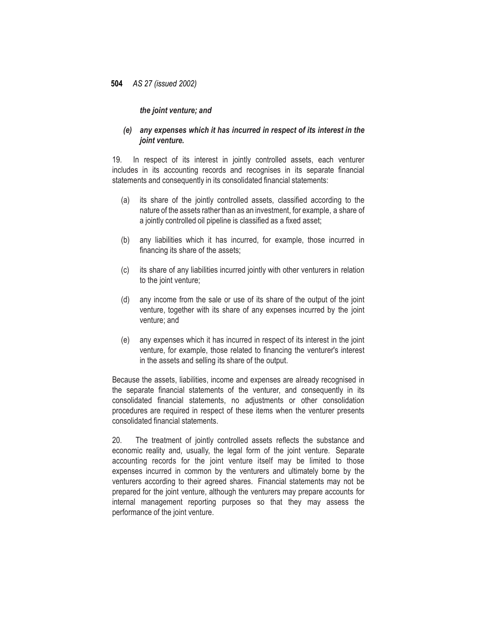#### *the joint venture; and*

#### *(e) any expenses which it has incurred in respect of its interest in the joint venture.*

19. In respect of its interest in jointly controlled assets, each venturer includes in its accounting records and recognises in its separate financial statements and consequently in its consolidated financial statements:

- (a) its share of the jointly controlled assets, classified according to the nature of the assets rather than as an investment, for example, a share of a jointly controlled oil pipeline is classified as a fixed asset;
- (b) any liabilities which it has incurred, for example, those incurred in financing its share of the assets;
- (c) its share of any liabilities incurred jointly with other venturers in relation to the joint venture;
- (d) any income from the sale or use of its share of the output of the joint venture, together with its share of any expenses incurred by the joint venture; and
- (e) any expenses which it has incurred in respect of its interest in the joint venture, for example, those related to financing the venturer's interest in the assets and selling its share of the output.

Because the assets, liabilities, income and expenses are already recognised in the separate financial statements of the venturer, and consequently in its consolidated financial statements, no adjustments or other consolidation procedures are required in respect of these items when the venturer presents consolidated financial statements.

20. The treatment of jointly controlled assets reflects the substance and economic reality and, usually, the legal form of the joint venture. Separate accounting records for the joint venture itself may be limited to those expenses incurred in common by the venturers and ultimately borne by the venturers according to their agreed shares. Financial statements may not be prepared for the joint venture, although the venturers may prepare accounts for internal management reporting purposes so that they may assess the performance of the joint venture.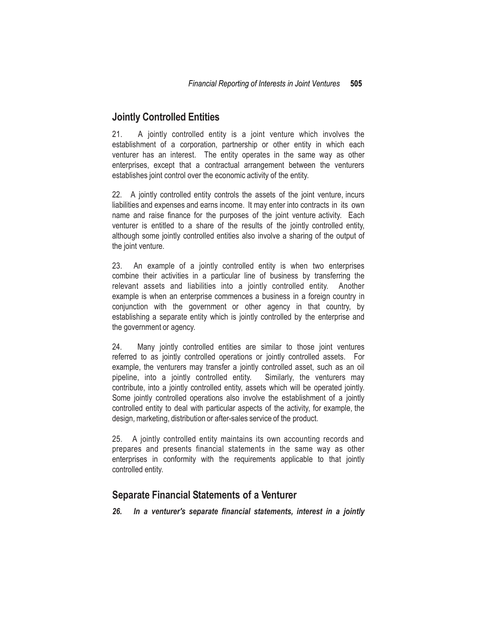# **Jointly Controlled Entities**

21. A jointly controlled entity is a joint venture which involves the establishment of a corporation, partnership or other entity in which each venturer has an interest. The entity operates in the same way as other enterprises, except that a contractual arrangement between the venturers establishes joint control over the economic activity of the entity.

22. A jointly controlled entity controls the assets of the joint venture, incurs liabilities and expenses and earns income. It may enter into contracts in its own name and raise finance for the purposes of the joint venture activity. Each venturer is entitled to a share of the results of the jointly controlled entity, although some jointly controlled entities also involve a sharing of the output of the joint venture.

23. An example of a jointly controlled entity is when two enterprises combine their activities in a particular line of business by transferring the relevant assets and liabilities into a jointly controlled entity. Another example is when an enterprise commences a business in a foreign country in conjunction with the government or other agency in that country, by establishing a separate entity which is jointly controlled by the enterprise and the government or agency.

24. Many jointly controlled entities are similar to those joint ventures referred to as jointly controlled operations or jointly controlled assets. For example, the venturers may transfer a jointly controlled asset, such as an oil pipeline, into a jointly controlled entity. Similarly, the venturers may contribute, into a jointly controlled entity, assets which will be operated jointly. Some jointly controlled operations also involve the establishment of a jointly controlled entity to deal with particular aspects of the activity, for example, the design, marketing, distribution or after-sales service of the product.

25. A jointly controlled entity maintains its own accounting records and prepares and presents financial statements in the same way as other enterprises in conformity with the requirements applicable to that jointly controlled entity.

### **Separate Financial Statements of a Venturer**

*26. In a venturer's separate financial statements, interest in a jointly*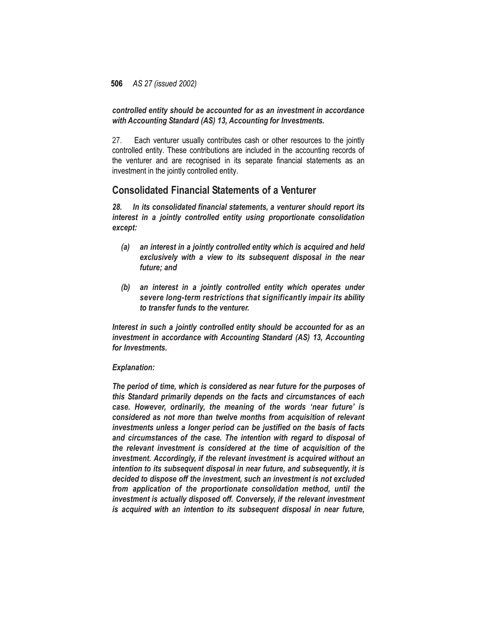*controlled entity should be accounted for as an investment in accordance with Accounting Standard (AS) 13, Accounting for Investments.*

27. Each venturer usually contributes cash or other resources to the jointly controlled entity. These contributions are included in the accounting records of the venturer and are recognised in its separate financial statements as an investment in the jointly controlled entity.

### **Consolidated Financial Statements of a Venturer**

*28. In its consolidated financial statements, a venturer should report its interest in a jointly controlled entity using proportionate consolidation except:*

- *(a) an interest in a jointly controlled entity which is acquired and held exclusively with a view to its subsequent disposal in the near future; and*
- *(b) an interest in a jointly controlled entity which operates under severe long-term restrictions that significantly impair its ability to transfer funds to the venturer.*

*Interest in such a jointly controlled entity should be accounted for as an investment in accordance with Accounting Standard (AS) 13, Accounting for Investments.*

#### *Explanation:*

*The period of time, which is considered as near future for the purposes of this Standard primarily depends on the facts and circumstances of each case. However, ordinarily, the meaning of the words 'near future' is considered as not more than twelve months from acquisition of relevant investments unless a longer period can be justified on the basis of facts and circumstances of the case. The intention with regard to disposal of the relevant investment is considered at the time of acquisition of the investment. Accordingly, if the relevant investment is acquired without an intention to its subsequent disposal in near future, and subsequently, it is decided to dispose off the investment, such an investment is not excluded from application of the proportionate consolidation method, until the investment is actually disposed off. Conversely, if the relevant investment is acquired with an intention to its subsequent disposal in near future,*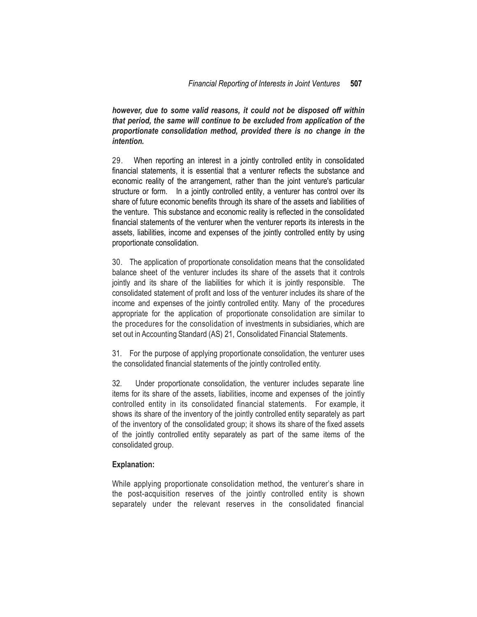*however, due to some valid reasons, it could not be disposed off within that period, the same will continue to be excluded from application of the proportionate consolidation method, provided there is no change in the intention.*

29. When reporting an interest in a jointly controlled entity in consolidated financial statements, it is essential that a venturer reflects the substance and economic reality of the arrangement, rather than the joint venture's particular structure or form. In a jointly controlled entity, a venturer has control over its share of future economic benefits through its share of the assets and liabilities of the venture. This substance and economic reality is reflected in the consolidated financial statements of the venturer when the venturer reports its interests in the assets, liabilities, income and expenses of the jointly controlled entity by using proportionate consolidation.

30. The application of proportionate consolidation means that the consolidated balance sheet of the venturer includes its share of the assets that it controls jointly and its share of the liabilities for which it is jointly responsible. The consolidated statement of profit and loss of the venturer includes its share of the income and expenses of the jointly controlled entity. Many of the procedures appropriate for the application of proportionate consolidation are similar to the procedures for the consolidation of investments in subsidiaries, which are set out in Accounting Standard (AS) 21, Consolidated Financial Statements.

31. For the purpose of applying proportionate consolidation, the venturer uses the consolidated financial statements of the jointly controlled entity.

32. Under proportionate consolidation, the venturer includes separate line items for its share of the assets, liabilities, income and expenses of the jointly controlled entity in its consolidated financial statements. For example, it shows its share of the inventory of the jointly controlled entity separately as part of the inventory of the consolidated group; it shows its share of the fixed assets of the jointly controlled entity separately as part of the same items of the consolidated group.

#### **Explanation:**

While applying proportionate consolidation method, the venturer's share in the post-acquisition reserves of the jointly controlled entity is shown separately under the relevant reserves in the consolidated financial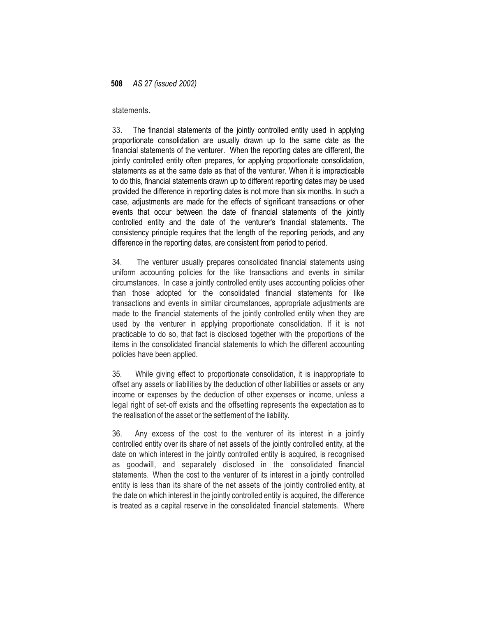#### statements.

33. The financial statements of the jointly controlled entity used in applying proportionate consolidation are usually drawn up to the same date as the financial statements of the venturer. When the reporting dates are different, the jointly controlled entity often prepares, for applying proportionate consolidation, statements as at the same date as that of the venturer. When it is impracticable to do this, financial statements drawn up to different reporting dates may be used provided the difference in reporting dates is not more than six months. In such a case, adjustments are made for the effects of significant transactions or other events that occur between the date of financial statements of the jointly controlled entity and the date of the venturer's financial statements. The consistency principle requires that the length of the reporting periods, and any difference in the reporting dates, are consistent from period to period.

34. The venturer usually prepares consolidated financial statements using uniform accounting policies for the like transactions and events in similar circumstances. In case a jointly controlled entity uses accounting policies other than those adopted for the consolidated financial statements for like transactions and events in similar circumstances, appropriate adjustments are made to the financial statements of the jointly controlled entity when they are used by the venturer in applying proportionate consolidation. If it is not practicable to do so, that fact is disclosed together with the proportions of the items in the consolidated financial statements to which the different accounting policies have been applied.

35. While giving effect to proportionate consolidation, it is inappropriate to offset any assets or liabilities by the deduction of other liabilities or assets or any income or expenses by the deduction of other expenses or income, unless a legal right of set-off exists and the offsetting represents the expectation as to the realisation of the asset or the settlement of the liability.

36. Any excess of the cost to the venturer of its interest in a jointly controlled entity over its share of net assets of the jointly controlled entity, at the date on which interest in the jointly controlled entity is acquired, is recognised as goodwill, and separately disclosed in the consolidated financial statements. When the cost to the venturer of its interest in a jointly controlled entity is less than its share of the net assets of the jointly controlled entity, at the date on which interest in the jointly controlled entity is acquired, the difference is treated as a capital reserve in the consolidated financial statements. Where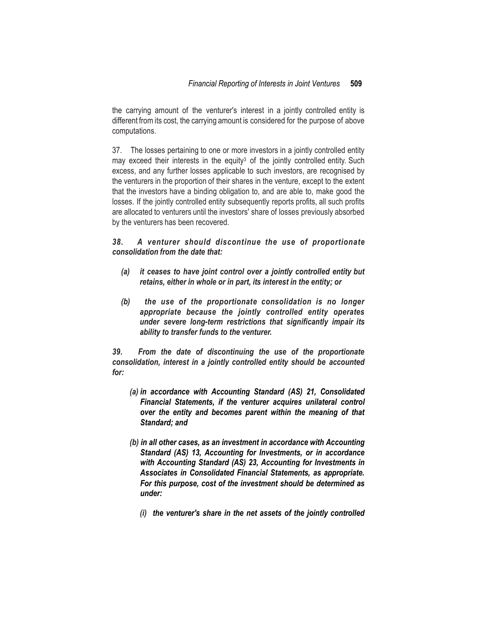the carrying amount of the venturer's interest in a jointly controlled entity is different from its cost, the carrying amount is considered for the purpose of above computations.

37. The losses pertaining to one or more investors in a jointly controlled entity may exceed their interests in the equity<sup>3</sup> of the jointly controlled entity. Such excess, and any further losses applicable to such investors, are recognised by the venturers in the proportion of their shares in the venture, except to the extent that the investors have a binding obligation to, and are able to, make good the losses. If the jointly controlled entity subsequently reports profits, all such profits are allocated to venturers until the investors' share of losses previously absorbed by the venturers has been recovered.

### *38. A venturer should discontinue the use of proportionate consolidation from the date that:*

- *(a) it ceases to have joint control over a jointly controlled entity but retains, either in whole or in part, its interest in the entity; or*
- *(b) the use of the proportionate consolidation is no longer appropriate because the jointly controlled entity operates under severe long-term restrictions that significantly impair its ability to transfer funds to the venturer.*

*39. From the date of discontinuing the use of the proportionate consolidation, interest in a jointly controlled entity should be accounted for:*

- *(a) in accordance with Accounting Standard (AS) 21, Consolidated Financial Statements, if the venturer acquires unilateral control over the entity and becomes parent within the meaning of that Standard; and*
- *(b) in all other cases, as an investment in accordance with Accounting Standard (AS) 13, Accounting for Investments, or in accordance with Accounting Standard (AS) 23, Accounting for Investments in Associates in Consolidated Financial Statements, as appropriate. For this purpose, cost of the investment should be determined as under:*
	- *(i) the venturer's share in the net assets of the jointly controlled*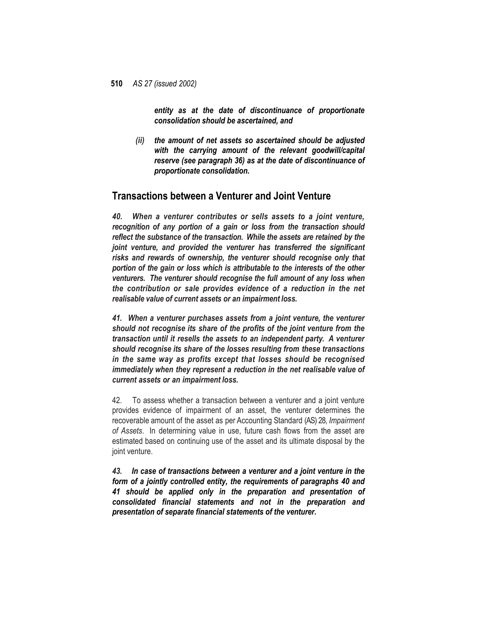*entity as at the date of discontinuance of proportionate consolidation should be ascertained, and*

*(ii) the amount of net assets so ascertained should be adjusted with the carrying amount of the relevant goodwill/capital reserve (see paragraph 36) as at the date of discontinuance of proportionate consolidation.*

### **Transactions between a Venturer and Joint Venture**

*40. When a venturer contributes or sells assets to a joint venture, recognition of any portion of a gain or loss from the transaction should reflect the substance of the transaction. While the assets are retained by the joint venture, and provided the venturer has transferred the significant risks and rewards of ownership, the venturer should recognise only that portion of the gain or loss which is attributable to the interests of the other venturers. The venturer should recognise the full amount of any loss when the contribution or sale provides evidence of a reduction in the net realisable value of current assets or an impairment loss.*

*41. When a venturer purchases assets from a joint venture, the venturer should not recognise its share of the profits of the joint venture from the transaction until it resells the assets to an independent party. A venturer should recognise its share of the losses resulting from these transactions in the same way as profits except that losses should be recognised immediately when they represent a reduction in the net realisable value of current assets or an impairment loss.*

42. To assess whether a transaction between a venturer and a joint venture provides evidence of impairment of an asset, the venturer determines the recoverable amount of the asset as per Accounting Standard (AS) 28, *Impairment of Assets*. In determining value in use, future cash flows from the asset are estimated based on continuing use of the asset and its ultimate disposal by the joint venture.

*43. In case of transactions between a venturer and a joint venture in the form of a jointly controlled entity, the requirements of paragraphs 40 and 41 should be applied only in the preparation and presentation of consolidated financial statements and not in the preparation and presentation of separate financial statements of the venturer.*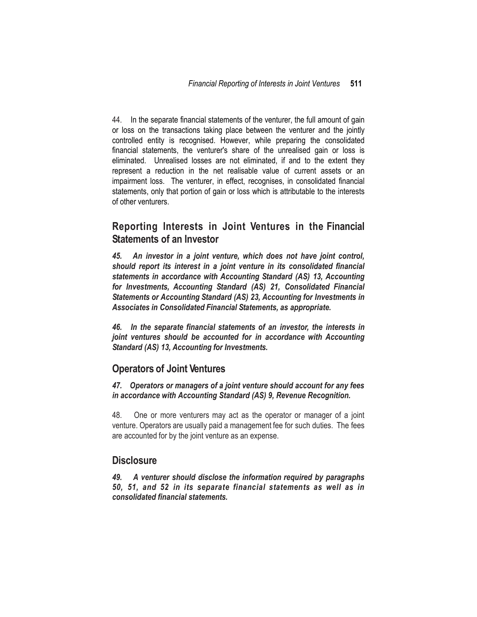44. In the separate financial statements of the venturer, the full amount of gain or loss on the transactions taking place between the venturer and the jointly controlled entity is recognised. However, while preparing the consolidated financial statements, the venturer's share of the unrealised gain or loss is eliminated. Unrealised losses are not eliminated, if and to the extent they represent a reduction in the net realisable value of current assets or an impairment loss. The venturer, in effect, recognises, in consolidated financial statements, only that portion of gain or loss which is attributable to the interests of other venturers.

## **Reporting Interests in Joint Ventures in the Financial Statements of an Investor**

*45. An investor in a joint venture, which does not have joint control, should report its interest in a joint venture in its consolidated financial statements in accordance with Accounting Standard (AS) 13, Accounting for Investments, Accounting Standard (AS) 21, Consolidated Financial Statements or Accounting Standard (AS) 23, Accounting for Investments in Associates in Consolidated Financial Statements, as appropriate.*

*46. In the separate financial statements of an investor, the interests in joint ventures should be accounted for in accordance with Accounting Standard (AS) 13, Accounting for Investments.*

### **Operators of Joint Ventures**

*47. Operators or managers of a joint venture should account for any fees in accordance with Accounting Standard (AS) 9, Revenue Recognition.*

48. One or more venturers may act as the operator or manager of a joint venture. Operators are usually paid a management fee for such duties. The fees are accounted for by the joint venture as an expense.

### **Disclosure**

*49. A venturer should disclose the information required by paragraphs 50, 51, and 52 in its separate financial statements as well as in consolidated financial statements.*